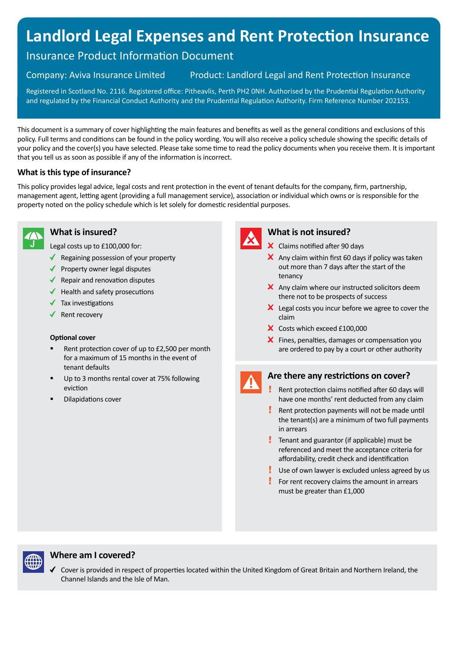# **Landlord Legal Expenses and Rent Protection Insurance**

## Insurance Product Information Document

Company: Aviva Insurance Limited Product: Landlord Legal and Rent Protection Insurance

Registered in Scotland No. 2116. Registered office: Pitheavlis, Perth PH2 0NH. Authorised by the Prudential Regulation Authority and regulated by the Financial Conduct Authority and the Prudential Regulation Authority. Firm Reference Number 202153.

This document is a summary of cover highlighting the main features and benefits as well as the general conditions and exclusions of this policy. Full terms and conditions can be found in the policy wording. You will also receive a policy schedule showing the specific details of your policy and the cover(s) you have selected. Please take some time to read the policy documents when you receive them. It is important that you tell us as soon as possible if any of the information is incorrect.

#### **What is this type of insurance?**

This policy provides legal advice, legal costs and rent protection in the event of tenant defaults for the company, firm, partnership, management agent, letting agent (providing a full management service), association or individual which owns or is responsible for the property noted on the policy schedule which is let solely for domestic residential purposes.



#### **What is insured?**

Legal costs up to £100,000 for:

- $\triangleleft$  Regaining possession of your property
- $\blacklozenge$  Property owner legal disputes
- $\blacklozenge$  Repair and renovation disputes
- $\blacklozenge$  Health and safety prosecutions
- $\sqrt{\phantom{a}}$  Tax investigations
- $\sqrt{\phantom{a}}$  Rent recovery

#### **Optional cover**

- Rent protection cover of up to £2,500 per month for a maximum of 15 months in the event of tenant defaults
- Up to 3 months rental cover at 75% following eviction
- Dilapidations cover



#### **What is not insured?**

- X Claims notified after 90 days
- $\boldsymbol{\times}$  Any claim within first 60 days if policy was taken out more than 7 days after the start of the tenancy
- $\times$  Any claim where our instructed solicitors deem there not to be prospects of success
- $\mathsf{\times}$  Legal costs you incur before we agree to cover the claim
- X Costs which exceed £100,000
- X Fines, penalties, damages or compensation you are ordered to pay by a court or other authority

#### **Are there any restrictions on cover?**

- Ţ Rent protection claims notified after 60 days will have one months' rent deducted from any claim
- Rent protection payments will not be made until the tenant(s) are a minimum of two full payments in arrears
- **Tenant and guarantor (if applicable) must be** referenced and meet the acceptance criteria for affordability, credit check and identification
- Use of own lawyer is excluded unless agreed by us
- Ţ. For rent recovery claims the amount in arrears must be greater than £1,000



#### **Where am I covered?**

Cover is provided in respect of properties located within the United Kingdom of Great Britain and Northern Ireland, the Channel Islands and the Isle of Man.